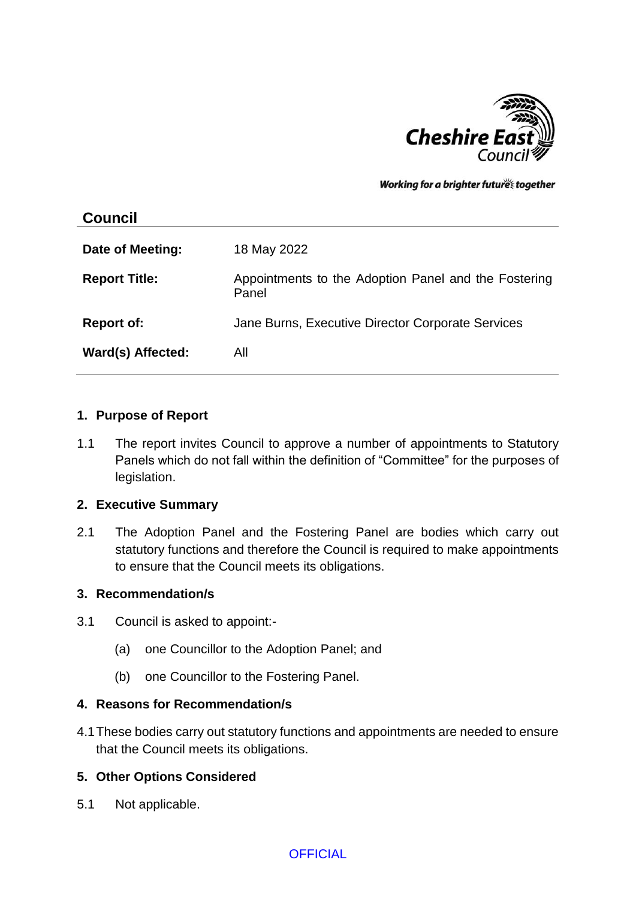

Working for a brighter futures together

| <b>Council</b>       |                                                               |
|----------------------|---------------------------------------------------------------|
| Date of Meeting:     | 18 May 2022                                                   |
| <b>Report Title:</b> | Appointments to the Adoption Panel and the Fostering<br>Panel |
| <b>Report of:</b>    | Jane Burns, Executive Director Corporate Services             |
| Ward(s) Affected:    | All                                                           |

### **1. Purpose of Report**

1.1 The report invites Council to approve a number of appointments to Statutory Panels which do not fall within the definition of "Committee" for the purposes of legislation.

### **2. Executive Summary**

2.1 The Adoption Panel and the Fostering Panel are bodies which carry out statutory functions and therefore the Council is required to make appointments to ensure that the Council meets its obligations.

### **3. Recommendation/s**

- 3.1 Council is asked to appoint:-
	- (a) one Councillor to the Adoption Panel; and
	- (b) one Councillor to the Fostering Panel.

### **4. Reasons for Recommendation/s**

4.1These bodies carry out statutory functions and appointments are needed to ensure that the Council meets its obligations.

## **5. Other Options Considered**

5.1 Not applicable.

## **OFFICIAL**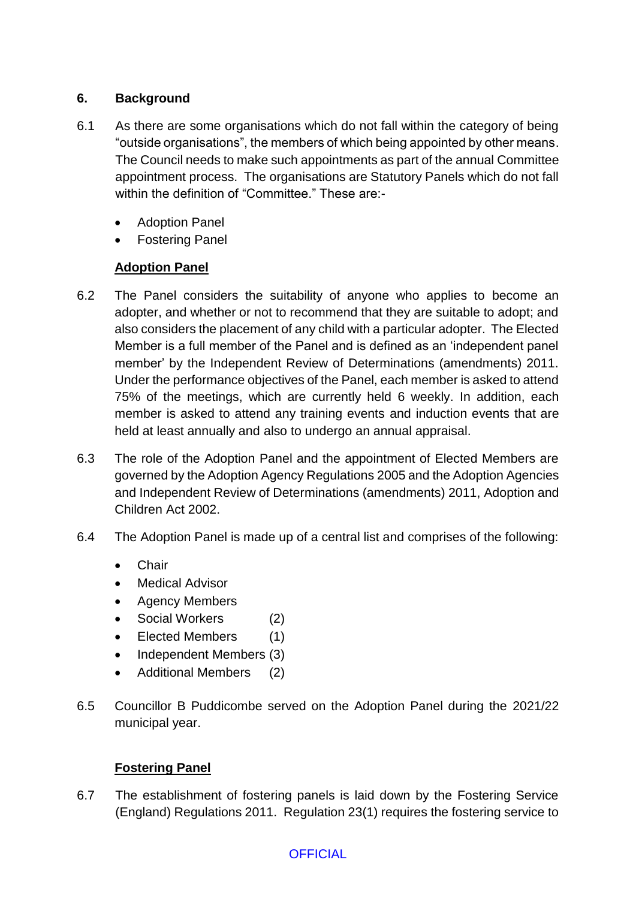# **6. Background**

- 6.1 As there are some organisations which do not fall within the category of being "outside organisations", the members of which being appointed by other means. The Council needs to make such appointments as part of the annual Committee appointment process. The organisations are Statutory Panels which do not fall within the definition of "Committee." These are:-
	- Adoption Panel
	- Fostering Panel

# **Adoption Panel**

- 6.2 The Panel considers the suitability of anyone who applies to become an adopter, and whether or not to recommend that they are suitable to adopt; and also considers the placement of any child with a particular adopter. The Elected Member is a full member of the Panel and is defined as an 'independent panel member' by the Independent Review of Determinations (amendments) 2011. Under the performance objectives of the Panel, each member is asked to attend 75% of the meetings, which are currently held 6 weekly. In addition, each member is asked to attend any training events and induction events that are held at least annually and also to undergo an annual appraisal.
- 6.3 The role of the Adoption Panel and the appointment of Elected Members are governed by the Adoption Agency Regulations 2005 and the Adoption Agencies and Independent Review of Determinations (amendments) 2011, Adoption and Children Act 2002.
- 6.4 The Adoption Panel is made up of a central list and comprises of the following:
	- **Chair**
	- Medical Advisor
	- Agency Members
	- Social Workers (2)
	- Elected Members (1)
	- Independent Members (3)
	- Additional Members (2)
- 6.5 Councillor B Puddicombe served on the Adoption Panel during the 2021/22 municipal year.

# **Fostering Panel**

6.7 The establishment of fostering panels is laid down by the Fostering Service (England) Regulations 2011. Regulation 23(1) requires the fostering service to

# **OFFICIAL**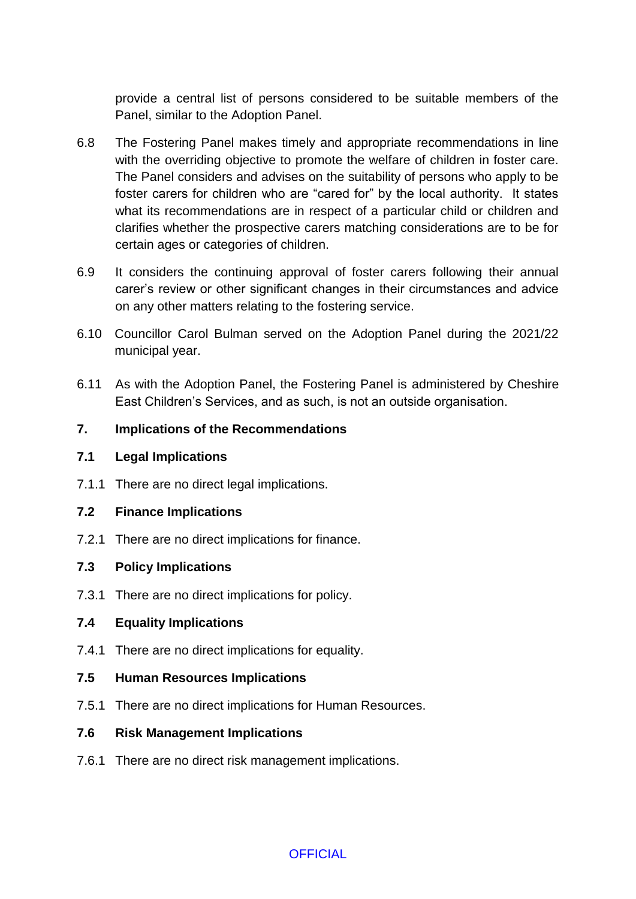provide a central list of persons considered to be suitable members of the Panel, similar to the Adoption Panel.

- 6.8 The Fostering Panel makes timely and appropriate recommendations in line with the overriding objective to promote the welfare of children in foster care. The Panel considers and advises on the suitability of persons who apply to be foster carers for children who are "cared for" by the local authority. It states what its recommendations are in respect of a particular child or children and clarifies whether the prospective carers matching considerations are to be for certain ages or categories of children.
- 6.9 It considers the continuing approval of foster carers following their annual carer's review or other significant changes in their circumstances and advice on any other matters relating to the fostering service.
- 6.10 Councillor Carol Bulman served on the Adoption Panel during the 2021/22 municipal year.
- 6.11 As with the Adoption Panel, the Fostering Panel is administered by Cheshire East Children's Services, and as such, is not an outside organisation.

## **7. Implications of the Recommendations**

- **7.1 Legal Implications**
- 7.1.1 There are no direct legal implications.
- **7.2 Finance Implications**
- 7.2.1 There are no direct implications for finance.

## **7.3 Policy Implications**

7.3.1 There are no direct implications for policy.

# **7.4 Equality Implications**

- 7.4.1 There are no direct implications for equality.
- **7.5 Human Resources Implications**
- 7.5.1 There are no direct implications for Human Resources.

## **7.6 Risk Management Implications**

7.6.1 There are no direct risk management implications.

**OFFICIAL**